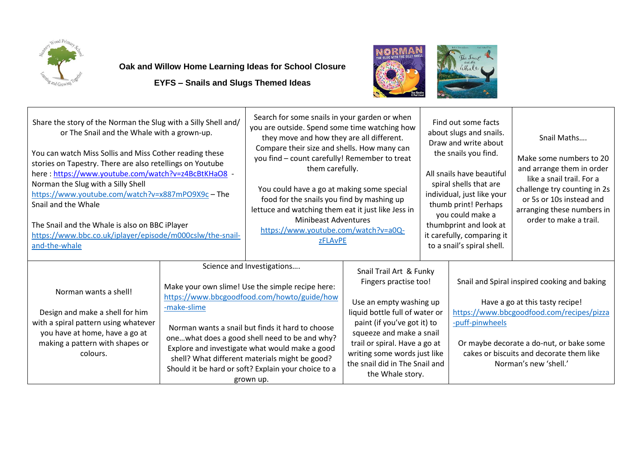

**Oak and Willow Home Learning Ideas for School Closure**

T

**EYFS – Snails and Slugs Themed Ideas** 



┬

 $\mathbf{r}$ 

| Share the story of the Norman the Slug with a Silly Shell and/<br>or The Snail and the Whale with a grown-up.<br>You can watch Miss Sollis and Miss Cother reading these<br>stories on Tapestry. There are also retellings on Youtube<br>here: https://www.youtube.com/watch?v=z4BcBtKHaO8 -<br>Norman the Slug with a Silly Shell<br>https://www.youtube.com/watch?v=x887mPO9X9c - The<br>Snail and the Whale<br>The Snail and the Whale is also on BBC iPlayer<br>https://www.bbc.co.uk/iplayer/episode/m000cslw/the-snail-<br>and-the-whale |                                                                                                                                                                                                                                                                                                                                                                                                                           | Search for some snails in your garden or when<br>you are outside. Spend some time watching how<br>they move and how they are all different.<br>Compare their size and shells. How many can<br>you find - count carefully! Remember to treat<br>them carefully.<br>You could have a go at making some special<br>food for the snails you find by mashing up<br>lettuce and watching them eat it just like Jess in<br><b>Minibeast Adventures</b><br>https://www.youtube.com/watch?v=a0Q-<br><b>zFLAvPE</b> |                                                                                                                                                                                                                                                                                                 | Find out some facts<br>about slugs and snails.<br>Draw and write about<br>the snails you find.<br>All snails have beautiful<br>spiral shells that are<br>individual, just like your<br>thumb print! Perhaps<br>you could make a<br>thumbprint and look at<br>it carefully, comparing it<br>to a snail's spiral shell. |                                                                                                                                                                                                                                                                  | Snail Maths<br>Make some numbers to 20<br>and arrange them in order<br>like a snail trail. For a<br>challenge try counting in 2s<br>or 5s or 10s instead and<br>arranging these numbers in<br>order to make a trail. |
|------------------------------------------------------------------------------------------------------------------------------------------------------------------------------------------------------------------------------------------------------------------------------------------------------------------------------------------------------------------------------------------------------------------------------------------------------------------------------------------------------------------------------------------------|---------------------------------------------------------------------------------------------------------------------------------------------------------------------------------------------------------------------------------------------------------------------------------------------------------------------------------------------------------------------------------------------------------------------------|-----------------------------------------------------------------------------------------------------------------------------------------------------------------------------------------------------------------------------------------------------------------------------------------------------------------------------------------------------------------------------------------------------------------------------------------------------------------------------------------------------------|-------------------------------------------------------------------------------------------------------------------------------------------------------------------------------------------------------------------------------------------------------------------------------------------------|-----------------------------------------------------------------------------------------------------------------------------------------------------------------------------------------------------------------------------------------------------------------------------------------------------------------------|------------------------------------------------------------------------------------------------------------------------------------------------------------------------------------------------------------------------------------------------------------------|----------------------------------------------------------------------------------------------------------------------------------------------------------------------------------------------------------------------|
| Norman wants a shell!<br>Design and make a shell for him<br>with a spiral pattern using whatever<br>you have at home, have a go at<br>making a pattern with shapes or<br>colours.                                                                                                                                                                                                                                                                                                                                                              | Science and Investigations<br>Make your own slime! Use the simple recipe here:<br>https://www.bbcgoodfood.com/howto/guide/how<br>-make-slime<br>Norman wants a snail but finds it hard to choose<br>onewhat does a good shell need to be and why?<br>Explore and investigate what would make a good<br>shell? What different materials might be good?<br>Should it be hard or soft? Explain your choice to a<br>grown up. |                                                                                                                                                                                                                                                                                                                                                                                                                                                                                                           | Snail Trail Art & Funky<br>Fingers practise too!<br>Use an empty washing up<br>liquid bottle full of water or<br>paint (if you've got it) to<br>squeeze and make a snail<br>trail or spiral. Have a go at<br>writing some words just like<br>the snail did in The Snail and<br>the Whale story. |                                                                                                                                                                                                                                                                                                                       | Snail and Spiral inspired cooking and baking<br>Have a go at this tasty recipe!<br>https://www.bbcgoodfood.com/recipes/pizza<br>-puff-pinwheels<br>Or maybe decorate a do-nut, or bake some<br>cakes or biscuits and decorate them like<br>Norman's new 'shell.' |                                                                                                                                                                                                                      |